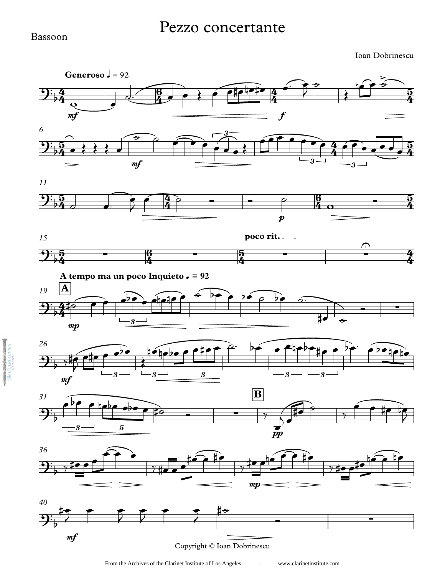## Pezzo concertante

Bassoon

Ioan Dobrinescu



Copyright © Ioan Dobrinescu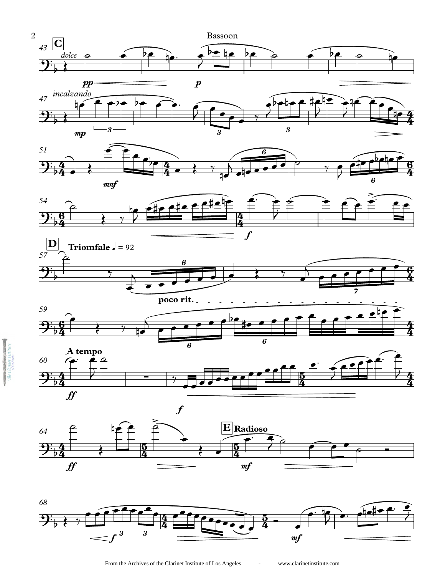

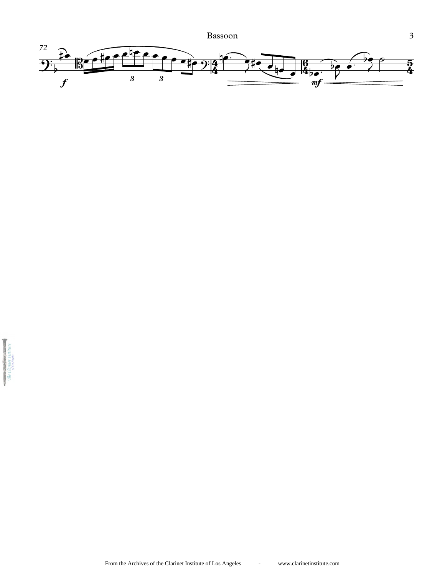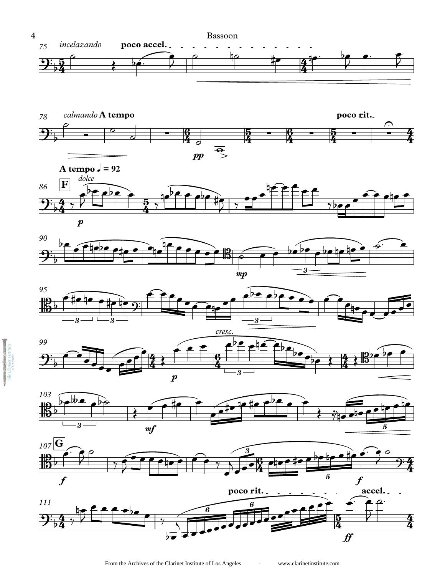















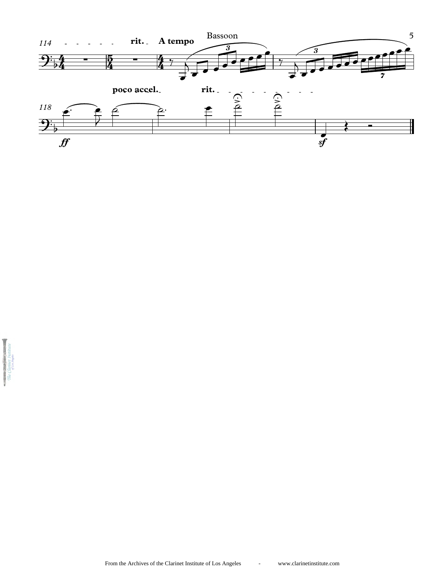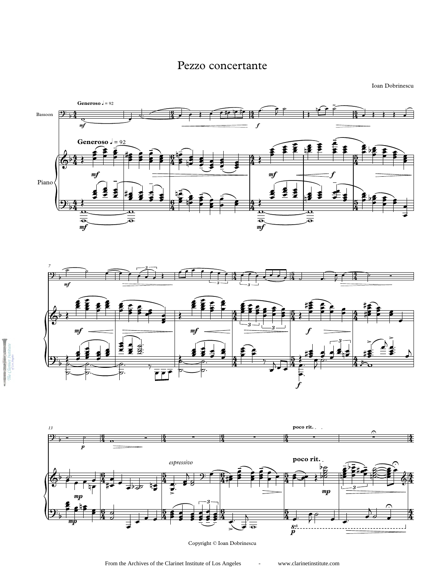

Ioan Dobrinescu





Copyright © Ioan Dobrinescu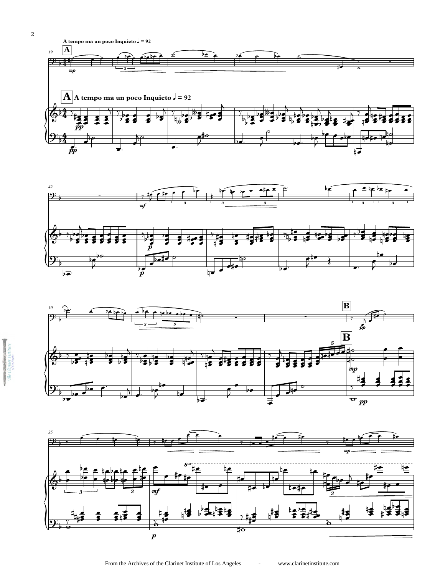







2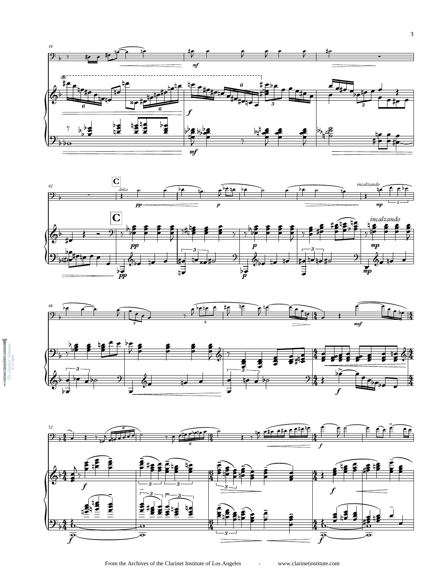





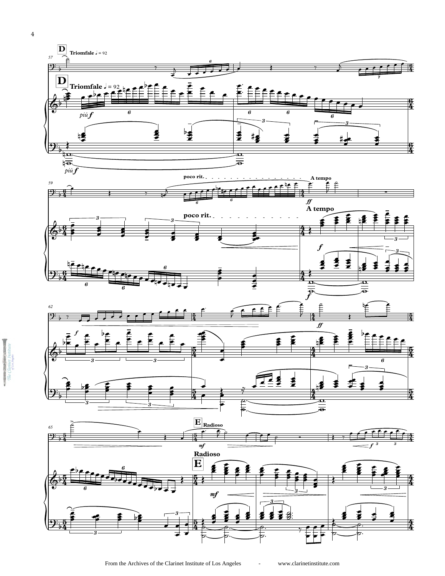

**The Clarinet Inst**<br>The Clarinet Inst<br>of co Angeles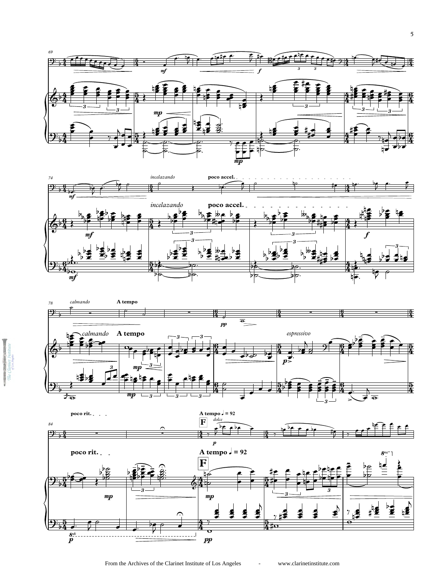





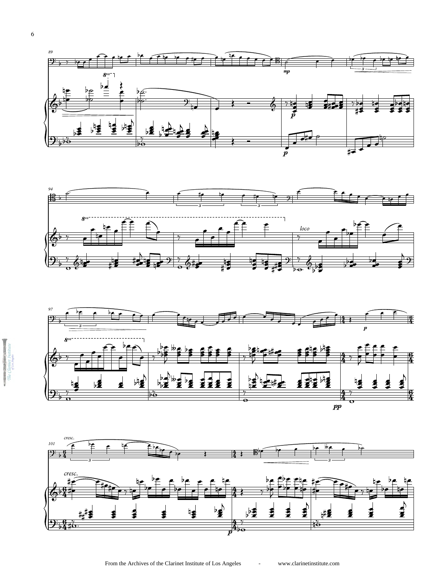







at a strong passer.<br>The Clarinet Insti<br>of cas modes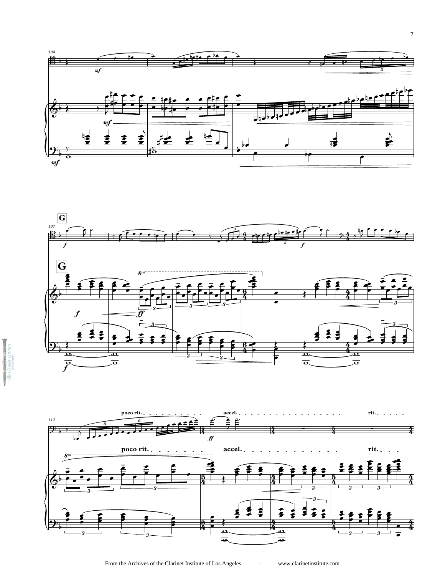